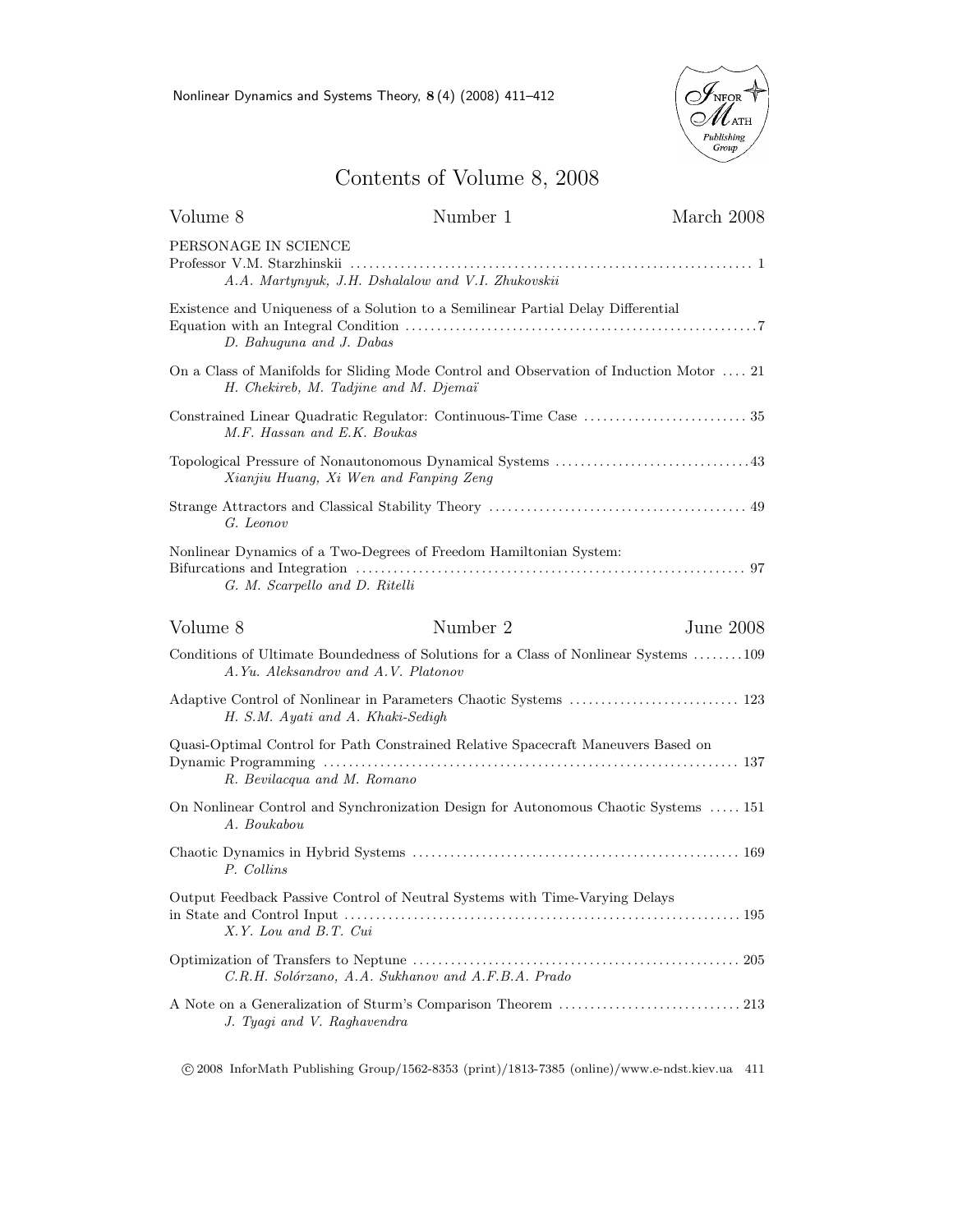

## Contents of Volume 8, 2008

| PERSONAGE IN SCIENCE<br>A.A. Martynyuk, J.H. Dshalalow and V.I. Zhukovskii<br>Existence and Uniqueness of a Solution to a Semilinear Partial Delay Differential<br>D. Bahuguna and J. Dabas<br>On a Class of Manifolds for Sliding Mode Control and Observation of Induction Motor  21<br>H. Chekireb, M. Tadjine and M. Djemaï<br>M.F. Hassan and E.K. Boukas<br>Xianjiu Huang, Xi Wen and Fanping Zeng<br>G. Leonov<br>Nonlinear Dynamics of a Two-Degrees of Freedom Hamiltonian System:<br>G. M. Scarpello and D. Ritelli<br>Volume 8<br>Number 2<br>June 2008<br>Conditions of Ultimate Boundedness of Solutions for a Class of Nonlinear Systems 109<br>A.Yu. Aleksandrov and A.V. Platonov<br>H. S.M. Ayati and A. Khaki-Sedigh<br>Quasi-Optimal Control for Path Constrained Relative Spacecraft Maneuvers Based on<br>R. Bevilacqua and M. Romano<br>On Nonlinear Control and Synchronization Design for Autonomous Chaotic Systems  151<br>A. Boukabou<br>P. Collins<br>Output Feedback Passive Control of Neutral Systems with Time-Varying Delays<br>X.Y. Lou and B.T. Cui<br>C.R.H. Solórzano, A.A. Sukhanov and A.F.B.A. Prado<br>J. Tyagi and V. Raghavendra | Volume 8 | Number 1 | March 2008 |  |  |
|-----------------------------------------------------------------------------------------------------------------------------------------------------------------------------------------------------------------------------------------------------------------------------------------------------------------------------------------------------------------------------------------------------------------------------------------------------------------------------------------------------------------------------------------------------------------------------------------------------------------------------------------------------------------------------------------------------------------------------------------------------------------------------------------------------------------------------------------------------------------------------------------------------------------------------------------------------------------------------------------------------------------------------------------------------------------------------------------------------------------------------------------------------------------------------|----------|----------|------------|--|--|
|                                                                                                                                                                                                                                                                                                                                                                                                                                                                                                                                                                                                                                                                                                                                                                                                                                                                                                                                                                                                                                                                                                                                                                             |          |          |            |  |  |
|                                                                                                                                                                                                                                                                                                                                                                                                                                                                                                                                                                                                                                                                                                                                                                                                                                                                                                                                                                                                                                                                                                                                                                             |          |          |            |  |  |
|                                                                                                                                                                                                                                                                                                                                                                                                                                                                                                                                                                                                                                                                                                                                                                                                                                                                                                                                                                                                                                                                                                                                                                             |          |          |            |  |  |
|                                                                                                                                                                                                                                                                                                                                                                                                                                                                                                                                                                                                                                                                                                                                                                                                                                                                                                                                                                                                                                                                                                                                                                             |          |          |            |  |  |
|                                                                                                                                                                                                                                                                                                                                                                                                                                                                                                                                                                                                                                                                                                                                                                                                                                                                                                                                                                                                                                                                                                                                                                             |          |          |            |  |  |
|                                                                                                                                                                                                                                                                                                                                                                                                                                                                                                                                                                                                                                                                                                                                                                                                                                                                                                                                                                                                                                                                                                                                                                             |          |          |            |  |  |
|                                                                                                                                                                                                                                                                                                                                                                                                                                                                                                                                                                                                                                                                                                                                                                                                                                                                                                                                                                                                                                                                                                                                                                             |          |          |            |  |  |
|                                                                                                                                                                                                                                                                                                                                                                                                                                                                                                                                                                                                                                                                                                                                                                                                                                                                                                                                                                                                                                                                                                                                                                             |          |          |            |  |  |
|                                                                                                                                                                                                                                                                                                                                                                                                                                                                                                                                                                                                                                                                                                                                                                                                                                                                                                                                                                                                                                                                                                                                                                             |          |          |            |  |  |
|                                                                                                                                                                                                                                                                                                                                                                                                                                                                                                                                                                                                                                                                                                                                                                                                                                                                                                                                                                                                                                                                                                                                                                             |          |          |            |  |  |
|                                                                                                                                                                                                                                                                                                                                                                                                                                                                                                                                                                                                                                                                                                                                                                                                                                                                                                                                                                                                                                                                                                                                                                             |          |          |            |  |  |
|                                                                                                                                                                                                                                                                                                                                                                                                                                                                                                                                                                                                                                                                                                                                                                                                                                                                                                                                                                                                                                                                                                                                                                             |          |          |            |  |  |
|                                                                                                                                                                                                                                                                                                                                                                                                                                                                                                                                                                                                                                                                                                                                                                                                                                                                                                                                                                                                                                                                                                                                                                             |          |          |            |  |  |
|                                                                                                                                                                                                                                                                                                                                                                                                                                                                                                                                                                                                                                                                                                                                                                                                                                                                                                                                                                                                                                                                                                                                                                             |          |          |            |  |  |
|                                                                                                                                                                                                                                                                                                                                                                                                                                                                                                                                                                                                                                                                                                                                                                                                                                                                                                                                                                                                                                                                                                                                                                             |          |          |            |  |  |
|                                                                                                                                                                                                                                                                                                                                                                                                                                                                                                                                                                                                                                                                                                                                                                                                                                                                                                                                                                                                                                                                                                                                                                             |          |          |            |  |  |

 $\copyright$  2008 InforMath Publishing Group/1562-8353 (print)/1813-7385 (online)/www.e-ndst.kiev.ua $\,$  411  $\,$